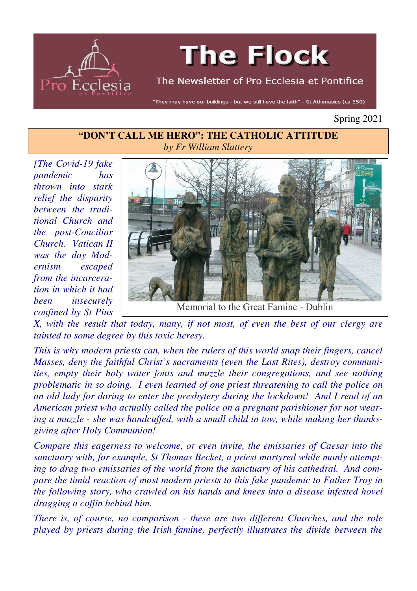

# **The Flock**

#### The Newsletter of Pro Ecclesia et Pontifice

"They may have our buildings - but we still have the faith" - St Athanasius (ca 350)

Spring 2021

#### **"DON'T CALL ME HERO": THE CATHOLIC ATTITUDE** *by Fr William Slattery*

*[The Covid-19 fake pandemic has thrown into stark relief the disparity between the traditional Church and the post-Conciliar Church. Vatican II was the day Modernism escaped from the incarceration in which it had been insecurely confined by St Pius* 



Memorial to the Great Famine - Dublin

*X, with the result that today, many, if not most, of even the best of our clergy are tainted to some degree by this toxic heresy.* 

*This is why modern priests can, when the rulers of this world snap their fingers, cancel Masses, deny the faithful Christ's sacraments (even the Last Rites), destroy communities, empty their holy water fonts and muzzle their congregations, and see nothing problematic in so doing. I even learned of one priest threatening to call the police on an old lady for daring to enter the presbytery during the lockdown! And I read of an American priest who actually called the police on a pregnant parishioner for not wearing a muzzle - she was handcuffed, with a small child in tow, while making her thanksgiving after Holy Communion!* 

*Compare this eagerness to welcome, or even invite, the emissaries of Caesar into the sanctuary with, for example, St Thomas Becket, a priest martyred while manly attempting to drag two emissaries of the world from the sanctuary of his cathedral. And compare the timid reaction of most modern priests to this fake pandemic to Father Troy in the following story, who crawled on his hands and knees into a disease infested hovel dragging a coffin behind him.* 

*There is, of course, no comparison - these are two different Churches, and the role played by priests during the Irish famine, perfectly illustrates the divide between the*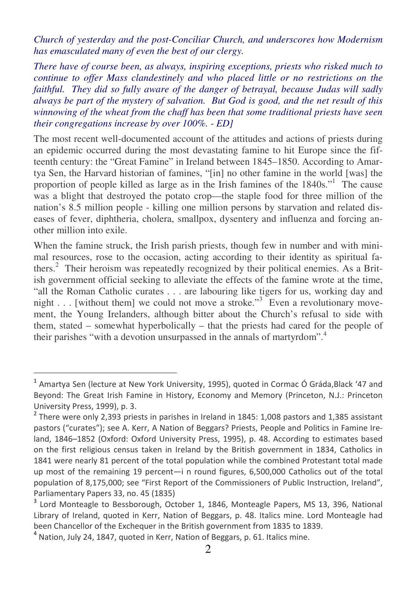*Church of yesterday and the post-Conciliar Church, and underscores how Modernism has emasculated many of even the best of our clergy.* 

*There have of course been, as always, inspiring exceptions, priests who risked much to continue to offer Mass clandestinely and who placed little or no restrictions on the faithful. They did so fully aware of the danger of betrayal, because Judas will sadly always be part of the mystery of salvation. But God is good, and the net result of this winnowing of the wheat from the chaff has been that some traditional priests have seen their congregations increase by over 100%. - ED]*

The most recent well-documented account of the attitudes and actions of priests during an epidemic occurred during the most devastating famine to hit Europe since the fifteenth century: the "Great Famine" in Ireland between 1845–1850. According to Amartya Sen, the Harvard historian of famines, "[in] no other famine in the world [was] the proportion of people killed as large as in the Irish famines of the 1840s."<sup>1</sup> The cause was a blight that destroyed the potato crop—the staple food for three million of the nation's 8.5 million people - killing one million persons by starvation and related diseases of fever, diphtheria, cholera, smallpox, dysentery and influenza and forcing another million into exile.

When the famine struck, the Irish parish priests, though few in number and with minimal resources, rose to the occasion, acting according to their identity as spiritual fathers.<sup>2</sup> Their heroism was repeatedly recognized by their political enemies. As a British government official seeking to alleviate the effects of the famine wrote at the time, "all the Roman Catholic curates . . . are labouring like tigers for us, working day and night . . . [without them] we could not move a stroke."<sup>3</sup> Even a revolutionary movement, the Young Irelanders, although bitter about the Church's refusal to side with them, stated – somewhat hyperbolically – that the priests had cared for the people of their parishes "with a devotion unsurpassed in the annals of martyrdom".<sup>4</sup>

<sup>&</sup>lt;sup>1</sup> Amartya Sen (lecture at New York University, 1995), quoted in Cormac Ó Gráda,Black '47 and Beyond: The Great Irish Famine in History, Economy and Memory (Princeton, N.J.: Princeton University Press, 1999), p. 3.

 $^2$  There were only 2,393 priests in parishes in Ireland in 1845: 1,008 pastors and 1,385 assistant pastors ("curates"); see A. Kerr, A Nation of Beggars? Priests, People and Politics in Famine Ireland, 1846–1852 (Oxford: Oxford University Press, 1995), p. 48. According to estimates based on the first religious census taken in Ireland by the British government in 1834, Catholics in 1841 were nearly 81 percent of the total population while the combined Protestant total made up most of the remaining 19 percent—i n round figures, 6,500,000 Catholics out of the total population of 8,175,000; see "First Report of the Commissioners of Public Instruction, Ireland", Parliamentary Papers 33, no. 45 (1835)

<sup>&</sup>lt;sup>3</sup> Lord Monteagle to Bessborough, October 1, 1846, Monteagle Papers, MS 13, 396, National Library of Ireland, quoted in Kerr, Nation of Beggars, p. 48. Italics mine. Lord Monteagle had been Chancellor of the Exchequer in the British government from 1835 to 1839.

<sup>4</sup> Nation, July 24, 1847, quoted in Kerr, Nation of Beggars, p. 61. Italics mine.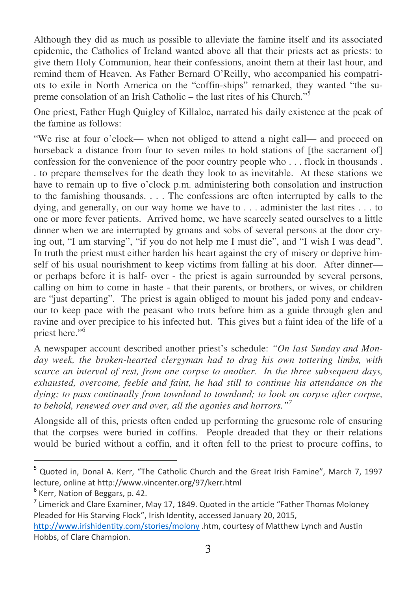Although they did as much as possible to alleviate the famine itself and its associated epidemic, the Catholics of Ireland wanted above all that their priests act as priests: to give them Holy Communion, hear their confessions, anoint them at their last hour, and remind them of Heaven. As Father Bernard O'Reilly, who accompanied his compatriots to exile in North America on the "coffin-ships" remarked, they wanted "the supreme consolation of an Irish Catholic – the last rites of his Church."<sup>5</sup>

One priest, Father Hugh Quigley of Killaloe, narrated his daily existence at the peak of the famine as follows:

"We rise at four o'clock— when not obliged to attend a night call— and proceed on horseback a distance from four to seven miles to hold stations of [the sacrament of] confession for the convenience of the poor country people who . . . flock in thousands . . to prepare themselves for the death they look to as inevitable. At these stations we have to remain up to five o'clock p.m. administering both consolation and instruction to the famishing thousands. . . . The confessions are often interrupted by calls to the dying, and generally, on our way home we have to . . . administer the last rites . . . to one or more fever patients. Arrived home, we have scarcely seated ourselves to a little dinner when we are interrupted by groans and sobs of several persons at the door crying out, "I am starving", "if you do not help me I must die", and "I wish I was dead". In truth the priest must either harden his heart against the cry of misery or deprive himself of his usual nourishment to keep victims from falling at his door. After dinner or perhaps before it is half- over - the priest is again surrounded by several persons, calling on him to come in haste - that their parents, or brothers, or wives, or children are "just departing". The priest is again obliged to mount his jaded pony and endeavour to keep pace with the peasant who trots before him as a guide through glen and ravine and over precipice to his infected hut. This gives but a faint idea of the life of a priest here."<sup>6</sup>

A newspaper account described another priest's schedule: *"On last Sunday and Monday week, the broken-hearted clergyman had to drag his own tottering limbs, with scarce an interval of rest, from one corpse to another. In the three subsequent days, exhausted, overcome, feeble and faint, he had still to continue his attendance on the dying; to pass continually from townland to townland; to look on corpse after corpse, to behold, renewed over and over, all the agonies and horrors."<sup>7</sup>*

Alongside all of this, priests often ended up performing the gruesome role of ensuring that the corpses were buried in coffins. People dreaded that they or their relations would be buried without a coffin, and it often fell to the priest to procure coffins, to

<sup>&</sup>lt;sup>5</sup> Quoted in, Donal A. Kerr, "The Catholic Church and the Great Irish Famine", March 7, 1997 lecture, online at http://www.vincenter.org/97/kerr.html

<sup>&</sup>lt;sup>6</sup> Kerr, Nation of Beggars, p. 42.

 $<sup>7</sup>$  Limerick and Clare Examiner, May 17, 1849. Quoted in the article "Father Thomas Moloney</sup> Pleaded for His Starving Flock", Irish Identity, accessed January 20, 2015,

http://www.irishidentity.com/stories/molony .htm, courtesy of Matthew Lynch and Austin Hobbs, of Clare Champion.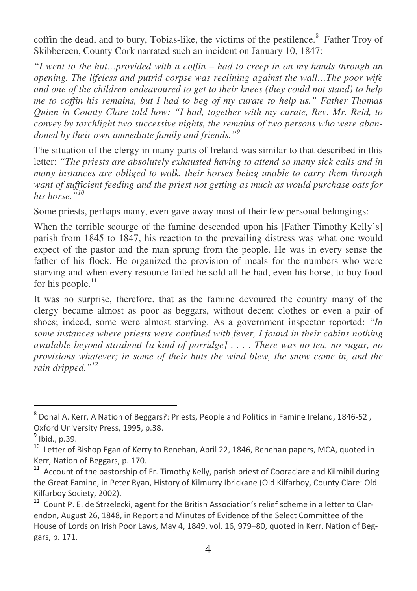coffin the dead, and to bury, Tobias-like, the victims of the pestilence.<sup>8</sup> Father Troy of Skibbereen, County Cork narrated such an incident on January 10, 1847:

*"I went to the hut…provided with a coffin – had to creep in on my hands through an opening. The lifeless and putrid corpse was reclining against the wall…The poor wife and one of the children endeavoured to get to their knees (they could not stand) to help me to coffin his remains, but I had to beg of my curate to help us." Father Thomas Quinn in County Clare told how: "I had, together with my curate, Rev. Mr. Reid, to convey by torchlight two successive nights, the remains of two persons who were abandoned by their own immediate family and friends."<sup>9</sup>*

The situation of the clergy in many parts of Ireland was similar to that described in this letter: *"The priests are absolutely exhausted having to attend so many sick calls and in many instances are obliged to walk, their horses being unable to carry them through want of sufficient feeding and the priest not getting as much as would purchase oats for his horse."<sup>10</sup>*

Some priests, perhaps many, even gave away most of their few personal belongings:

When the terrible scourge of the famine descended upon his [Father Timothy Kelly's] parish from 1845 to 1847, his reaction to the prevailing distress was what one would expect of the pastor and the man sprung from the people. He was in every sense the father of his flock. He organized the provision of meals for the numbers who were starving and when every resource failed he sold all he had, even his horse, to buy food for his people. $^{11}$ 

It was no surprise, therefore, that as the famine devoured the country many of the clergy became almost as poor as beggars, without decent clothes or even a pair of shoes; indeed, some were almost starving. As a government inspector reported: *"In some instances where priests were confined with fever, I found in their cabins nothing available beyond stirabout [a kind of porridge] . . . . There was no tea, no sugar, no provisions whatever; in some of their huts the wind blew, the snow came in, and the rain dripped."<sup>12</sup>*

<sup>&</sup>lt;sup>8</sup> Donal A. Kerr, A Nation of Beggars?: Priests, People and Politics in Famine Ireland, 1846-52 , Oxford University Press, 1995, p.38.

<sup>&</sup>lt;sup>9</sup> Ibid., p.39.

<sup>&</sup>lt;sup>10</sup> Letter of Bishop Egan of Kerry to Renehan, April 22, 1846, Renehan papers, MCA, quoted in Kerr, Nation of Beggars, p. 170.

<sup>11</sup> Account of the pastorship of Fr. Timothy Kelly, parish priest of Cooraclare and Kilmihil during the Great Famine, in Peter Ryan, History of Kilmurry Ibrickane (Old Kilfarboy, County Clare: Old Kilfarboy Society, 2002).

Count P. E. de Strzelecki, agent for the British Association's relief scheme in a letter to Clarendon, August 26, 1848, in Report and Minutes of Evidence of the Select Committee of the House of Lords on Irish Poor Laws, May 4, 1849, vol. 16, 979–80, quoted in Kerr, Nation of Beggars, p. 171.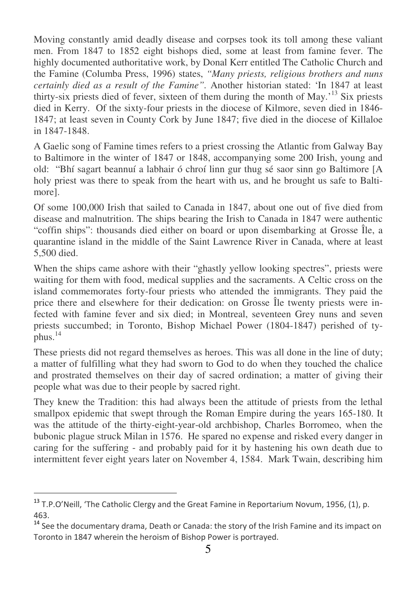Moving constantly amid deadly disease and corpses took its toll among these valiant men. From 1847 to 1852 eight bishops died, some at least from famine fever. The highly documented authoritative work, by Donal Kerr entitled The Catholic Church and the Famine (Columba Press, 1996) states, *"Many priests, religious brothers and nuns certainly died as a result of the Famine".* Another historian stated: 'In 1847 at least thirty-six priests died of fever, sixteen of them during the month of May.'<sup>13</sup> Six priests died in Kerry. Of the sixty-four priests in the diocese of Kilmore, seven died in 1846- 1847; at least seven in County Cork by June 1847; five died in the diocese of Killaloe in 1847-1848.

A Gaelic song of Famine times refers to a priest crossing the Atlantic from Galway Bay to Baltimore in the winter of 1847 or 1848, accompanying some 200 Irish, young and old: "Bhí sagart beannuí a labhair ó chroí linn gur thug sé saor sinn go Baltimore [A holy priest was there to speak from the heart with us, and he brought us safe to Baltimore].

Of some 100,000 Irish that sailed to Canada in 1847, about one out of five died from disease and malnutrition. The ships bearing the Irish to Canada in 1847 were authentic "coffin ships": thousands died either on board or upon disembarking at Grosse Île, a quarantine island in the middle of the Saint Lawrence River in Canada, where at least 5,500 died.

When the ships came ashore with their "ghastly yellow looking spectres", priests were waiting for them with food, medical supplies and the sacraments. A Celtic cross on the island commemorates forty-four priests who attended the immigrants. They paid the price there and elsewhere for their dedication: on Grosse Île twenty priests were infected with famine fever and six died; in Montreal, seventeen Grey nuns and seven priests succumbed; in Toronto, Bishop Michael Power (1804-1847) perished of typhus. $^{14}$ 

These priests did not regard themselves as heroes. This was all done in the line of duty; a matter of fulfilling what they had sworn to God to do when they touched the chalice and prostrated themselves on their day of sacred ordination; a matter of giving their people what was due to their people by sacred right.

They knew the Tradition: this had always been the attitude of priests from the lethal smallpox epidemic that swept through the Roman Empire during the years 165-180. It was the attitude of the thirty-eight-year-old archbishop, Charles Borromeo, when the bubonic plague struck Milan in 1576. He spared no expense and risked every danger in caring for the suffering - and probably paid for it by hastening his own death due to intermittent fever eight years later on November 4, 1584. Mark Twain, describing him

<sup>&</sup>lt;sup>13</sup> T.P.O'Neill, 'The Catholic Clergy and the Great Famine in Reportarium Novum, 1956, (1), p. 463.

<sup>&</sup>lt;sup>14</sup> See the documentary drama, Death or Canada: the story of the Irish Famine and its impact on Toronto in 1847 wherein the heroism of Bishop Power is portrayed.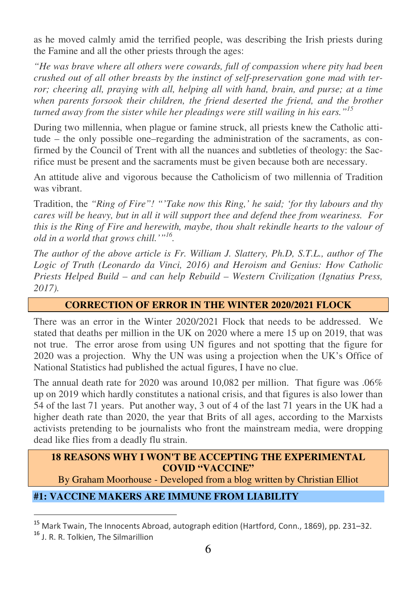as he moved calmly amid the terrified people, was describing the Irish priests during the Famine and all the other priests through the ages:

*"He was brave where all others were cowards, full of compassion where pity had been crushed out of all other breasts by the instinct of self-preservation gone mad with terror; cheering all, praying with all, helping all with hand, brain, and purse; at a time when parents forsook their children, the friend deserted the friend, and the brother turned away from the sister while her pleadings were still wailing in his ears."<sup>15</sup>*

During two millennia, when plague or famine struck, all priests knew the Catholic attitude – the only possible one–regarding the administration of the sacraments, as confirmed by the Council of Trent with all the nuances and subtleties of theology: the Sacrifice must be present and the sacraments must be given because both are necessary.

An attitude alive and vigorous because the Catholicism of two millennia of Tradition was vibrant.

Tradition, the *"Ring of Fire"! "'Take now this Ring,' he said; 'for thy labours and thy cares will be heavy, but in all it will support thee and defend thee from weariness. For this is the Ring of Fire and herewith, maybe, thou shalt rekindle hearts to the valour of old in a world that grows chill.'"<sup>16</sup> .* 

*The author of the above article is Fr. William J. Slattery, Ph.D, S.T.L., author of The Logic of Truth (Leonardo da Vinci, 2016) and Heroism and Genius: How Catholic Priests Helped Build – and can help Rebuild – Western Civilization (Ignatius Press, 2017).*

## **CORRECTION OF ERROR IN THE WINTER 2020/2021 FLOCK**

There was an error in the Winter 2020/2021 Flock that needs to be addressed. We stated that deaths per million in the UK on 2020 where a mere 15 up on 2019, that was not true. The error arose from using UN figures and not spotting that the figure for 2020 was a projection. Why the UN was using a projection when the UK's Office of National Statistics had published the actual figures, I have no clue.

The annual death rate for 2020 was around 10,082 per million. That figure was .06% up on 2019 which hardly constitutes a national crisis, and that figures is also lower than 54 of the last 71 years. Put another way, 3 out of 4 of the last 71 years in the UK had a higher death rate than 2020, the year that Brits of all ages, according to the Marxists activists pretending to be journalists who front the mainstream media, were dropping dead like flies from a deadly flu strain.

## **18 REASONS WHY I WON'T BE ACCEPTING THE EXPERIMENTAL COVID "VACCINE"**

By Graham Moorhouse - Developed from a blog written by Christian Elliot

# **#1: VACCINE MAKERS ARE IMMUNE FROM LIABILITY**

<sup>15</sup> Mark Twain, The Innocents Abroad, autograph edition (Hartford, Conn., 1869), pp. 231–32.

<sup>16</sup> J. R. R. Tolkien, The Silmarillion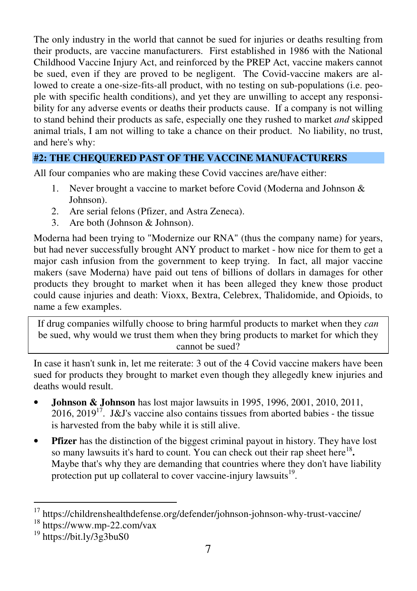The only industry in the world that cannot be sued for injuries or deaths resulting from their products, are vaccine manufacturers. First established in 1986 with the National Childhood Vaccine Injury Act, and reinforced by the PREP Act, vaccine makers cannot be sued, even if they are proved to be negligent. The Covid-vaccine makers are allowed to create a one-size-fits-all product, with no testing on sub-populations (i.e. people with specific health conditions), and yet they are unwilling to accept any responsibility for any adverse events or deaths their products cause. If a company is not willing to stand behind their products as safe, especially one they rushed to market *and* skipped animal trials, I am not willing to take a chance on their product. No liability, no trust, and here's why:

# **#2: THE CHEQUERED PAST OF THE VACCINE MANUFACTURERS**

All four companies who are making these Covid vaccines are/have either:

- 1. Never brought a vaccine to market before Covid (Moderna and Johnson & Johnson).
- 2. Are serial felons (Pfizer, and Astra Zeneca).
- 3. Are both (Johnson & Johnson).

Moderna had been trying to "Modernize our RNA" (thus the company name) for years, but had never successfully brought ANY product to market - how nice for them to get a major cash infusion from the government to keep trying. In fact, all major vaccine makers (save Moderna) have paid out tens of billions of dollars in damages for other products they brought to market when it has been alleged they knew those product could cause injuries and death: Vioxx, Bextra, Celebrex, Thalidomide, and Opioids, to name a few examples.

If drug companies wilfully choose to bring harmful products to market when they *can* be sued, why would we trust them when they bring products to market for which they cannot be sued?

In case it hasn't sunk in, let me reiterate: 3 out of the 4 Covid vaccine makers have been sued for products they brought to market even though they allegedly knew injuries and deaths would result.

- **Johnson & Johnson** has lost major lawsuits in 1995, 1996, 2001, 2010, 2011, 2016, 2019<sup>17</sup>. J&J's vaccine also contains tissues from aborted babies - the tissue is harvested from the baby while it is still alive.
- **Pfizer** has the distinction of the biggest criminal payout in history. They have lost so many lawsuits it's hard to count. You can check out their rap sheet here<sup>18</sup>. Maybe that's why they are demanding that countries where they don't have liability protection put up collateral to cover vaccine-injury lawsuits<sup>19</sup>.

<sup>&</sup>lt;sup>17</sup> https://childrenshealthdefense.org/defender/johnson-johnson-why-trust-vaccine/

<sup>18</sup> https://www.mp-22.com/vax

 $19$  https://bit.ly/3g3buS0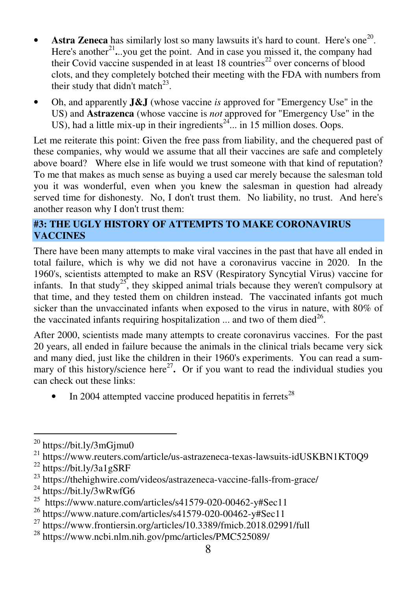- **Astra Zeneca** has similarly lost so many lawsuits it's hard to count. Here's one<sup>20</sup>. Here's another<sup>21</sup>...you get the point. And in case you missed it, the company had their Covid vaccine suspended in at least  $18$  countries<sup>22</sup> over concerns of blood clots, and they completely botched their meeting with the FDA with numbers from their study that didn't match<sup>23</sup>.
- Oh, and apparently **J&J** (whose vaccine *is* approved for "Emergency Use" in the US) and **Astrazenca** (whose vaccine is *not* approved for "Emergency Use" in the US), had a little mix-up in their ingredients<sup>24</sup> $\ldots$  in 15 million doses. Oops.

Let me reiterate this point: Given the free pass from liability, and the chequered past of these companies, why would we assume that all their vaccines are safe and completely above board? Where else in life would we trust someone with that kind of reputation? To me that makes as much sense as buying a used car merely because the salesman told you it was wonderful, even when you knew the salesman in question had already served time for dishonesty. No, I don't trust them. No liability, no trust. And here's another reason why I don't trust them:

#### **#3: THE UGLY HISTORY OF ATTEMPTS TO MAKE CORONAVIRUS VACCINES**

There have been many attempts to make viral vaccines in the past that have all ended in total failure, which is why we did not have a coronavirus vaccine in 2020. In the 1960's, scientists attempted to make an RSV (Respiratory Syncytial Virus) vaccine for infants. In that study<sup>25</sup>, they skipped animal trials because they weren't compulsory at that time, and they tested them on children instead. The vaccinated infants got much sicker than the unvaccinated infants when exposed to the virus in nature, with 80% of the vaccinated infants requiring hospitalization  $\ldots$  and two of them died<sup>26</sup>.

After 2000, scientists made many attempts to create coronavirus vaccines. For the past 20 years, all ended in failure because the animals in the clinical trials became very sick and many died, just like the children in their 1960's experiments. You can read a summary of this history/science here<sup>27</sup>. Or if you want to read the individual studies you can check out these links:

In 2004 attempted vaccine produced hepatitis in ferrets<sup>28</sup>

 $^{20}$  https://bit.ly/3mGjmu0

<sup>21</sup> https://www.reuters.com/article/us-astrazeneca-texas-lawsuits-idUSKBN1KT0Q9

<sup>22</sup> https://bit.ly/3a1gSRF

<sup>&</sup>lt;sup>23</sup> https://thehighwire.com/videos/astrazeneca-vaccine-falls-from-grace/

<sup>24</sup> https://bit.ly/3wRwfG6

<sup>25</sup> https://www.nature.com/articles/s41579-020-00462-y#Sec11

<sup>26</sup> https://www.nature.com/articles/s41579-020-00462-y#Sec11

 $^{27}$  https://www.frontiersin.org/articles/10.3389/fmicb.2018.02991/full

<sup>28</sup> https://www.ncbi.nlm.nih.gov/pmc/articles/PMC525089/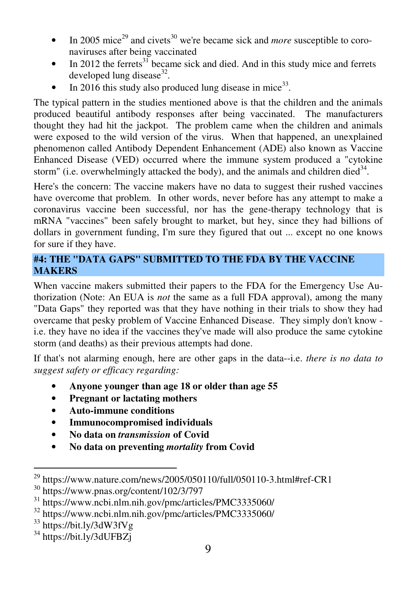- In 2005 mice<sup>29</sup> and civets<sup>30</sup> we're became sick and *more* susceptible to coronaviruses after being vaccinated
- In 2012 the ferrets<sup>31</sup> became sick and died. And in this study mice and ferrets developed lung disease $32$ .
- In 2016 this study also produced lung disease in mice<sup>33</sup>.

The typical pattern in the studies mentioned above is that the children and the animals produced beautiful antibody responses after being vaccinated. The manufacturers thought they had hit the jackpot. The problem came when the children and animals were exposed to the wild version of the virus. When that happened, an unexplained phenomenon called Antibody Dependent Enhancement (ADE) also known as Vaccine Enhanced Disease (VED) occurred where the immune system produced a "cytokine storm" (i.e. overwhelmingly attacked the body), and the animals and children died $34$ .

Here's the concern: The vaccine makers have no data to suggest their rushed vaccines have overcome that problem. In other words, never before has any attempt to make a coronavirus vaccine been successful, nor has the gene-therapy technology that is mRNA "vaccines" been safely brought to market, but hey, since they had billions of dollars in government funding, I'm sure they figured that out ... except no one knows for sure if they have.

# **#4: THE "DATA GAPS" SUBMITTED TO THE FDA BY THE VACCINE MAKERS**

When vaccine makers submitted their papers to the FDA for the Emergency Use Authorization (Note: An EUA is *not* the same as a full FDA approval), among the many "Data Gaps" they reported was that they have nothing in their trials to show they had overcame that pesky problem of Vaccine Enhanced Disease. They simply don't know i.e. they have no idea if the vaccines they've made will also produce the same cytokine storm (and deaths) as their previous attempts had done.

If that's not alarming enough, here are other gaps in the data--i.e. *there is no data to suggest safety or efficacy regarding:*

- **Anyone younger than age 18 or older than age 55**
- **Pregnant or lactating mothers**
- **Auto-immune conditions**
- **Immunocompromised individuals**
- **No data on** *transmission* **of Covid**
- **No data on preventing** *mortality* **from Covid**

 $^{29}$  https://www.nature.com/news/2005/050110/full/050110-3.html#ref-CR1

<sup>30</sup> https://www.pnas.org/content/102/3/797

<sup>31</sup> https://www.ncbi.nlm.nih.gov/pmc/articles/PMC3335060/

<sup>32</sup> https://www.ncbi.nlm.nih.gov/pmc/articles/PMC3335060/

<sup>33</sup> https://bit.ly/3dW3fVg

<sup>34</sup> https://bit.ly/3dUFBZj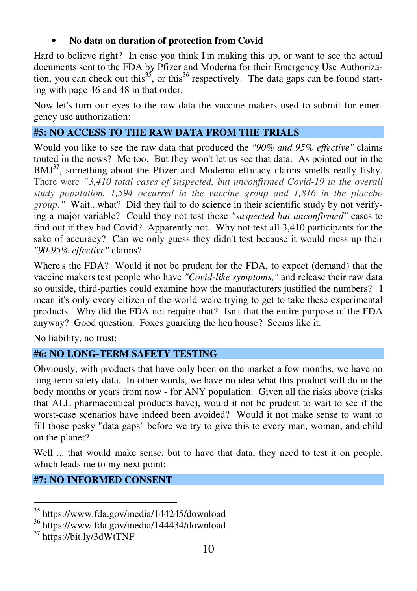# • **No data on duration of protection from Covid**

Hard to believe right? In case you think I'm making this up, or want to see the actual documents sent to the FDA by Pfizer and Moderna for their Emergency Use Authorization, you can check out this<sup>35</sup>, or this<sup>36</sup> respectively. The data gaps can be found starting with page 46 and 48 in that order.

Now let's turn our eyes to the raw data the vaccine makers used to submit for emergency use authorization:

# **#5: NO ACCESS TO THE RAW DATA FROM THE TRIALS**

Would you like to see the raw data that produced the *"90% and 95% effective"* claims touted in the news? Me too. But they won't let us see that data. As pointed out in the  $BMJ<sup>37</sup>$ , something about the Pfizer and Moderna efficacy claims smells really fishy. There were *"3,410 total cases of suspected, but unconfirmed Covid-19 in the overall study population, 1,594 occurred in the vaccine group and 1,816 in the placebo group."* Wait...what? Did they fail to do science in their scientific study by not verifying a major variable? Could they not test those *"suspected but unconfirmed"* cases to find out if they had Covid? Apparently not. Why not test all 3,410 participants for the sake of accuracy? Can we only guess they didn't test because it would mess up their *"90-95% effective"* claims?

Where's the FDA? Would it not be prudent for the FDA, to expect (demand) that the vaccine makers test people who have *"Covid-like symptoms,"* and release their raw data so outside, third-parties could examine how the manufacturers justified the numbers? I mean it's only every citizen of the world we're trying to get to take these experimental products. Why did the FDA not require that? Isn't that the entire purpose of the FDA anyway? Good question. Foxes guarding the hen house? Seems like it.

No liability, no trust:

# **#6: NO LONG-TERM SAFETY TESTING**

Obviously, with products that have only been on the market a few months, we have no long-term safety data. In other words, we have no idea what this product will do in the body months or years from now - for ANY population. Given all the risks above (risks that ALL pharmaceutical products have), would it not be prudent to wait to see if the worst-case scenarios have indeed been avoided? Would it not make sense to want to fill those pesky "data gaps" before we try to give this to every man, woman, and child on the planet?

Well ... that would make sense, but to have that data, they need to test it on people, which leads me to my next point:

# **#7: NO INFORMED CONSENT**

 $\overline{a}$ <sup>35</sup> https://www.fda.gov/media/144245/download

<sup>36</sup> https://www.fda.gov/media/144434/download

<sup>37</sup> https://bit.ly/3dWtTNF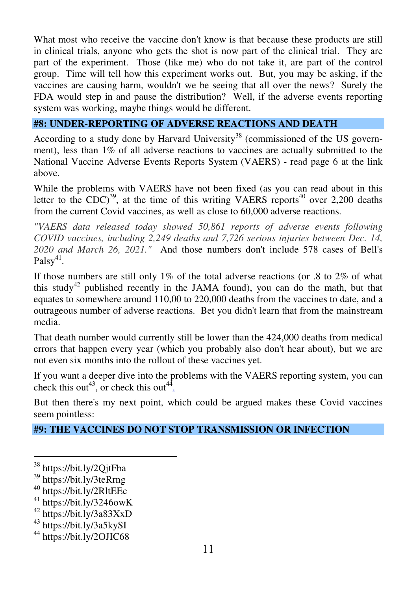What most who receive the vaccine don't know is that because these products are still in clinical trials, anyone who gets the shot is now part of the clinical trial. They are part of the experiment. Those (like me) who do not take it, are part of the control group. Time will tell how this experiment works out. But, you may be asking, if the vaccines are causing harm, wouldn't we be seeing that all over the news? Surely the FDA would step in and pause the distribution? Well, if the adverse events reporting system was working, maybe things would be different.

# **#8: UNDER-REPORTING OF ADVERSE REACTIONS AND DEATH**

According to a study done by Harvard University<sup>38</sup> (commissioned of the US government), less than 1% of all adverse reactions to vaccines are actually submitted to the National Vaccine Adverse Events Reports System (VAERS) - read page 6 at the link above.

While the problems with VAERS have not been fixed (as you can read about in this letter to the CDC)<sup>39</sup>, at the time of this writing VAERS reports<sup>40</sup> over 2,200 deaths from the current Covid vaccines, as well as close to 60,000 adverse reactions.

*"VAERS data released today showed 50,861 reports of adverse events following COVID vaccines, including 2,249 deaths and 7,726 serious injuries between Dec. 14, 2020 and March 26, 2021."* And those numbers don't include 578 cases of Bell's Palsy<sup>41</sup>.

If those numbers are still only 1% of the total adverse reactions (or .8 to 2% of what this study<sup>42</sup> published recently in the JAMA found), you can do the math, but that equates to somewhere around 110,00 to 220,000 deaths from the vaccines to date, and a outrageous number of adverse reactions. Bet you didn't learn that from the mainstream media.

That death number would currently still be lower than the 424,000 deaths from medical errors that happen every year (which you probably also don't hear about), but we are not even six months into the rollout of these vaccines yet.

If you want a deeper dive into the problems with the VAERS reporting system, you can check this out<sup>43</sup>, or check this out<sup>44</sup>.

But then there's my next point, which could be argued makes these Covid vaccines seem pointless:

# **#9: THE VACCINES DO NOT STOP TRANSMISSION OR INFECTION**

<sup>&</sup>lt;sup>38</sup> https://bit.ly/2QjtFba

<sup>39</sup> https://bit.ly/3teRrng

<sup>40</sup> https://bit.ly/2RltEEc

 $41$  https://bit.ly/3246owK

<sup>42</sup> https://bit.ly/3a83XxD

<sup>43</sup> https://bit.ly/3a5kySI

<sup>44</sup> https://bit.ly/2OJIC68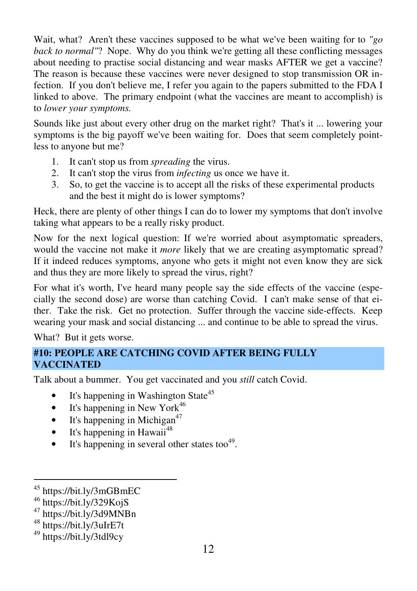Wait, what? Aren't these vaccines supposed to be what we've been waiting for to *"go back to normal"*? Nope. Why do you think we're getting all these conflicting messages about needing to practise social distancing and wear masks AFTER we get a vaccine? The reason is because these vaccines were never designed to stop transmission OR infection. If you don't believe me, I refer you again to the papers submitted to the FDA I linked to above. The primary endpoint (what the vaccines are meant to accomplish) is to *lower your symptoms.*

Sounds like just about every other drug on the market right? That's it ... lowering your symptoms is the big payoff we've been waiting for. Does that seem completely pointless to anyone but me?

- 1. It can't stop us from *spreading* the virus.
- 2. It can't stop the virus from *infecting* us once we have it.
- 3. So, to get the vaccine is to accept all the risks of these experimental products and the best it might do is lower symptoms?

Heck, there are plenty of other things I can do to lower my symptoms that don't involve taking what appears to be a really risky product.

Now for the next logical question: If we're worried about asymptomatic spreaders, would the vaccine not make it *more* likely that we are creating asymptomatic spread? If it indeed reduces symptoms, anyone who gets it might not even know they are sick and thus they are more likely to spread the virus, right?

For what it's worth, I've heard many people say the side effects of the vaccine (especially the second dose) are worse than catching Covid. I can't make sense of that either. Take the risk. Get no protection. Suffer through the vaccine side-effects. Keep wearing your mask and social distancing ... and continue to be able to spread the virus.

What? But it gets worse.

# **#10: PEOPLE ARE CATCHING COVID AFTER BEING FULLY VACCINATED**

Talk about a bummer. You get vaccinated and you *still* catch Covid.

- It's happening in Washington State<sup>45</sup>
- It's happening in New York<sup>46</sup>
- It's happening in Michigan<sup>47</sup>
- $\bullet$  It's happening in Hawaii<sup>48</sup>
- It's happening in several other states too $49$ .

 $\overline{a}$ <sup>45</sup> https://bit.ly/3mGBmEC

 $46$  https://bit.ly/329KojS

<sup>47</sup> https://bit.ly/3d9MNBn

<sup>48</sup> https://bit.ly/3uIrE7t

<sup>49</sup> https://bit.ly/3tdl9cy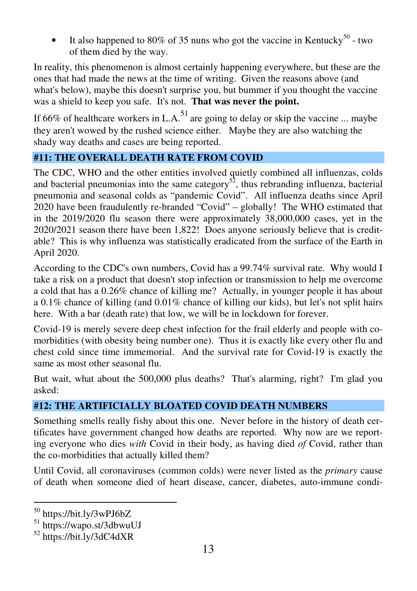It also happened to 80% of 35 nuns who got the vaccine in Kentucky<sup>50</sup> - two of them died by the way.

In reality, this phenomenon is almost certainly happening everywhere, but these are the ones that had made the news at the time of writing. Given the reasons above (and what's below), maybe this doesn't surprise you, but bummer if you thought the vaccine was a shield to keep you safe. It's not. **That was never the point.** 

If 66% of healthcare workers in L.A.<sup>51</sup> are going to delay or skip the vaccine ... maybe they aren't wowed by the rushed science either. Maybe they are also watching the shady way deaths and cases are being reported.

# **#11: THE OVERALL DEATH RATE FROM COVID**

The CDC, WHO and the other entities involved quietly combined all influenzas, colds and bacterial pneumonias into the same category<sup>52</sup>, thus rebranding influenza, bacterial pneumonia and seasonal colds as "pandemic Covid". All influenza deaths since April 2020 have been fraudulently re-branded "Covid" – globally! The WHO estimated that in the 2019/2020 flu season there were approximately 38,000,000 cases, yet in the 2020/2021 season there have been 1,822! Does anyone seriously believe that is creditable? This is why influenza was statistically eradicated from the surface of the Earth in April 2020.

According to the CDC's own numbers, Covid has a 99.74% survival rate. Why would I take a risk on a product that doesn't stop infection or transmission to help me overcome a cold that has a 0.26% chance of killing me? Actually, in younger people it has about a 0.1% chance of killing (and 0.01% chance of killing our kids), but let's not split hairs here. With a bar (death rate) that low, we will be in lockdown for forever.

Covid-19 is merely severe deep chest infection for the frail elderly and people with comorbidities (with obesity being number one). Thus it is exactly like every other flu and chest cold since time immemorial. And the survival rate for Covid-19 is exactly the same as most other seasonal flu.

But wait, what about the 500,000 plus deaths? That's alarming, right? I'm glad you asked:

# **#12: THE ARTIFICIALLY BLOATED COVID DEATH NUMBERS**

Something smells really fishy about this one. Never before in the history of death certificates have government changed how deaths are reported. Why now are we reporting everyone who dies *with* Covid in their body, as having died *of* Covid, rather than the co-morbidities that actually killed them?

Until Covid, all coronaviruses (common colds) were never listed as the *primary* cause of death when someone died of heart disease, cancer, diabetes, auto-immune condi-

<sup>50</sup> https://bit.ly/3wPJ6bZ

<sup>51</sup> https://wapo.st/3dbwuUJ

<sup>52</sup> https://bit.ly/3dC4dXR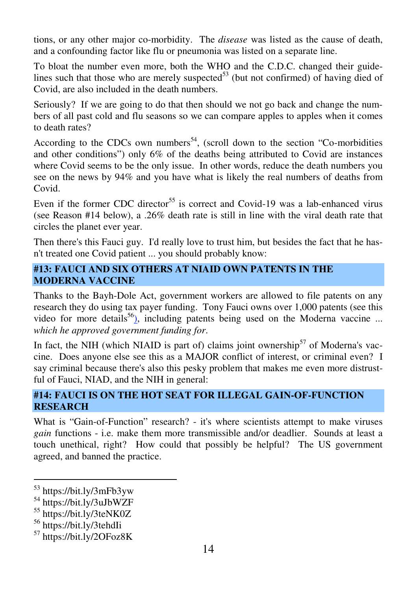tions, or any other major co-morbidity. The *disease* was listed as the cause of death, and a confounding factor like flu or pneumonia was listed on a separate line.

To bloat the number even more, both the WHO and the C.D.C. changed their guidelines such that those who are merely suspected $^{53}$  (but not confirmed) of having died of Covid, are also included in the death numbers.

Seriously? If we are going to do that then should we not go back and change the numbers of all past cold and flu seasons so we can compare apples to apples when it comes to death rates?

According to the CDCs own numbers<sup>54</sup>, (scroll down to the section "Co-morbidities") and other conditions") only 6% of the deaths being attributed to Covid are instances where Covid seems to be the only issue. In other words, reduce the death numbers you see on the news by 94% and you have what is likely the real numbers of deaths from Covid.

Even if the former CDC director<sup>55</sup> is correct and Covid-19 was a lab-enhanced virus (see Reason #14 below), a .26% death rate is still in line with the viral death rate that circles the planet ever year.

Then there's this Fauci guy. I'd really love to trust him, but besides the fact that he hasn't treated one Covid patient ... you should probably know:

## **#13: FAUCI AND SIX OTHERS AT NIAID OWN PATENTS IN THE MODERNA VACCINE**

Thanks to the Bayh-Dole Act, government workers are allowed to file patents on any research they do using tax payer funding. Tony Fauci owns over 1,000 patents (see this video for more details<sup>56</sup>), including patents being used on the Moderna vaccine ... *which he approved government funding for*.

In fact, the NIH (which NIAID is part of) claims joint ownership<sup>57</sup> of Moderna's vaccine. Does anyone else see this as a MAJOR conflict of interest, or criminal even? I say criminal because there's also this pesky problem that makes me even more distrustful of Fauci, NIAD, and the NIH in general:

# **#14: FAUCI IS ON THE HOT SEAT FOR ILLEGAL GAIN-OF-FUNCTION RESEARCH**

What is "Gain-of-Function" research? - it's where scientists attempt to make viruses *gain* functions - i.e. make them more transmissible and/or deadlier. Sounds at least a touch unethical, right? How could that possibly be helpful? The US government agreed, and banned the practice.

<sup>53</sup> https://bit.ly/3mFb3yw

<sup>54</sup> https://bit.ly/3uJbWZF

<sup>55</sup> https://bit.ly/3teNK0Z

<sup>56</sup> https://bit.ly/3tehdIi

<sup>57</sup> https://bit.ly/2OFoz8K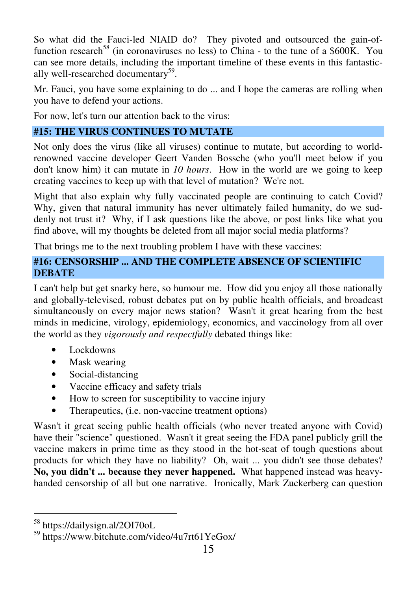So what did the Fauci-led NIAID do? They pivoted and outsourced the gain-offunction research<sup>58</sup> (in coronaviruses no less) to China - to the tune of a  $$600K$ . You can see more details, including the important timeline of these events in this fantastically well-researched documentary<sup>59</sup>.

Mr. Fauci, you have some explaining to do ... and I hope the cameras are rolling when you have to defend your actions.

For now, let's turn our attention back to the virus:

# **#15: THE VIRUS CONTINUES TO MUTATE**

Not only does the virus (like all viruses) continue to mutate, but according to worldrenowned vaccine developer Geert Vanden Bossche (who you'll meet below if you don't know him) it can mutate in *10 hours*. How in the world are we going to keep creating vaccines to keep up with that level of mutation? We're not.

Might that also explain why fully vaccinated people are continuing to catch Covid? Why, given that natural immunity has never ultimately failed humanity, do we suddenly not trust it? Why, if I ask questions like the above, or post links like what you find above, will my thoughts be deleted from all major social media platforms?

That brings me to the next troubling problem I have with these vaccines:

## **#16: CENSORSHIP ... AND THE COMPLETE ABSENCE OF SCIENTIFIC DEBATE**

I can't help but get snarky here, so humour me. How did you enjoy all those nationally and globally-televised, robust debates put on by public health officials, and broadcast simultaneously on every major news station? Wasn't it great hearing from the best minds in medicine, virology, epidemiology, economics, and vaccinology from all over the world as they *vigorously and respectfully* debated things like:

- Lockdowns
- Mask wearing
- Social-distancing
- Vaccine efficacy and safety trials
- How to screen for susceptibility to vaccine injury
- Therapeutics, (i.e. non-vaccine treatment options)

Wasn't it great seeing public health officials (who never treated anyone with Covid) have their "science" questioned. Wasn't it great seeing the FDA panel publicly grill the vaccine makers in prime time as they stood in the hot-seat of tough questions about products for which they have no liability? Oh, wait ... you didn't see those debates? **No, you didn't ... because they never happened.** What happened instead was heavyhanded censorship of all but one narrative. Ironically, Mark Zuckerberg can question

<sup>58</sup> https://dailysign.al/2OI70oL

<sup>59</sup> https://www.bitchute.com/video/4u7rt61YeGox/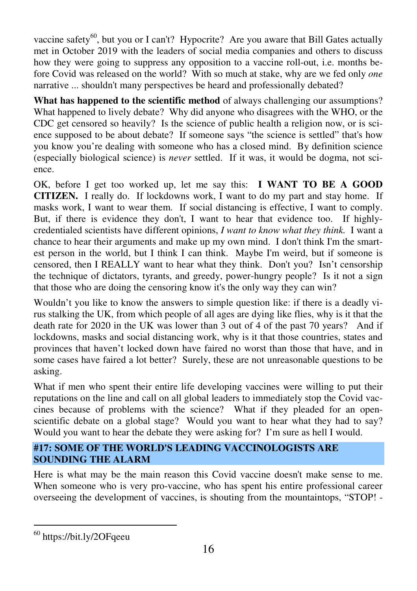vaccine safety<sup>60</sup>, but you or I can't? Hypocrite? Are you aware that Bill Gates actually met in October 2019 with the leaders of social media companies and others to discuss how they were going to suppress any opposition to a vaccine roll-out, i.e. months before Covid was released on the world? With so much at stake, why are we fed only *one* narrative ... shouldn't many perspectives be heard and professionally debated?

**What has happened to the scientific method** of always challenging our assumptions? What happened to lively debate? Why did anyone who disagrees with the WHO, or the CDC get censored so heavily? Is the science of public health a religion now, or is science supposed to be about debate? If someone says "the science is settled" that's how you know you're dealing with someone who has a closed mind. By definition science (especially biological science) is *never* settled. If it was, it would be dogma, not science.

OK, before I get too worked up, let me say this: **I WANT TO BE A GOOD CITIZEN.** I really do. If lockdowns work, I want to do my part and stay home. If masks work, I want to wear them. If social distancing is effective, I want to comply. But, if there is evidence they don't, I want to hear that evidence too. If highlycredentialed scientists have different opinions, *I want to know what they think.* I want a chance to hear their arguments and make up my own mind. I don't think I'm the smartest person in the world, but I think I can think. Maybe I'm weird, but if someone is censored, then I REALLY want to hear what they think. Don't you? Isn't censorship the technique of dictators, tyrants, and greedy, power-hungry people? Is it not a sign that those who are doing the censoring know it's the only way they can win?

Wouldn't you like to know the answers to simple question like: if there is a deadly virus stalking the UK, from which people of all ages are dying like flies, why is it that the death rate for 2020 in the UK was lower than 3 out of 4 of the past 70 years? And if lockdowns, masks and social distancing work, why is it that those countries, states and provinces that haven't locked down have faired no worst than those that have, and in some cases have faired a lot better? Surely, these are not unreasonable questions to be asking.

What if men who spent their entire life developing vaccines were willing to put their reputations on the line and call on all global leaders to immediately stop the Covid vaccines because of problems with the science? What if they pleaded for an openscientific debate on a global stage? Would you want to hear what they had to say? Would you want to hear the debate they were asking for? I'm sure as hell I would.

# **#17: SOME OF THE WORLD'S LEADING VACCINOLOGISTS ARE SOUNDING THE ALARM**

Here is what may be the main reason this Covid vaccine doesn't make sense to me. When someone who is very pro-vaccine, who has spent his entire professional career overseeing the development of vaccines, is shouting from the mountaintops, "STOP! -

<sup>60</sup> https://bit.ly/2OFqeeu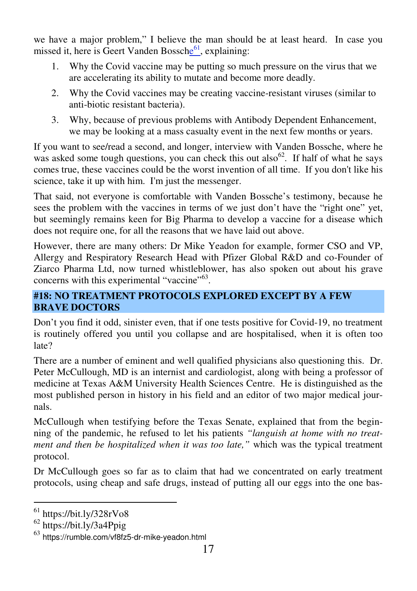we have a major problem," I believe the man should be at least heard. In case you missed it, here is Geert Vanden Bossche<sup>61</sup>, explaining:

- 1. Why the Covid vaccine may be putting so much pressure on the virus that we are accelerating its ability to mutate and become more deadly.
- 2. Why the Covid vaccines may be creating vaccine-resistant viruses (similar to anti-biotic resistant bacteria).
- 3. Why, because of previous problems with Antibody Dependent Enhancement, we may be looking at a mass casualty event in the next few months or years.

If you want to see/read a second, and longer, interview with Vanden Bossche, where he was asked some tough questions, you can check this out also <sup>62</sup>. If half of what he says comes true, these vaccines could be the worst invention of all time. If you don't like his science, take it up with him. I'm just the messenger.

That said, not everyone is comfortable with Vanden Bossche's testimony, because he sees the problem with the vaccines in terms of we just don't have the "right one" yet, but seemingly remains keen for Big Pharma to develop a vaccine for a disease which does not require one, for all the reasons that we have laid out above.

However, there are many others: Dr Mike Yeadon for example, former CSO and VP, Allergy and Respiratory Research Head with Pfizer Global R&D and co-Founder of Ziarco Pharma Ltd, now turned whistleblower, has also spoken out about his grave concerns with this experimental "vaccine"<sup>63</sup>.

# **#18: NO TREATMENT PROTOCOLS EXPLORED EXCEPT BY A FEW BRAVE DOCTORS**

Don't you find it odd, sinister even, that if one tests positive for Covid-19, no treatment is routinely offered you until you collapse and are hospitalised, when it is often too late?

There are a number of eminent and well qualified physicians also questioning this. Dr. Peter McCullough, MD is an internist and cardiologist, along with being a professor of medicine at Texas A&M University Health Sciences Centre. He is distinguished as the most published person in history in his field and an editor of two major medical journals.

McCullough when testifying before the Texas Senate, explained that from the beginning of the pandemic, he refused to let his patients *"languish at home with no treatment and then be hospitalized when it was too late,"* which was the typical treatment protocol.

Dr McCullough goes so far as to claim that had we concentrated on early treatment protocols, using cheap and safe drugs, instead of putting all our eggs into the one bas-

<sup>61</sup> https://bit.ly/328rVo8

<sup>62</sup> https://bit.ly/3a4Ppig

 $63$  https://rumble.com/vf8fz5-dr-mike-yeadon.html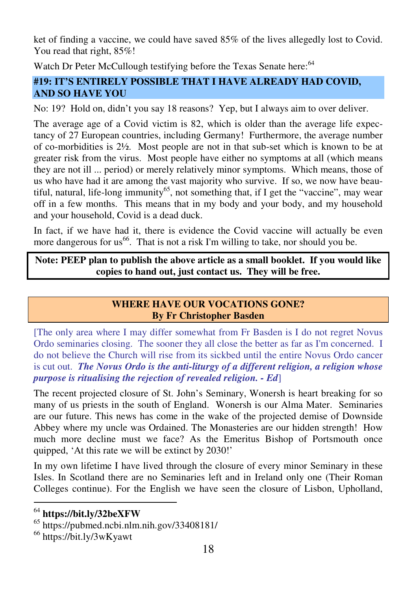ket of finding a vaccine, we could have saved 85% of the lives allegedly lost to Covid. You read that right, 85%!

Watch Dr Peter McCullough testifying before the Texas Senate here:<sup>64</sup>

# **#19: IT'S ENTIRELY POSSIBLE THAT I HAVE ALREADY HAD COVID, AND SO HAVE YOU**

No: 19? Hold on, didn't you say 18 reasons? Yep, but I always aim to over deliver.

The average age of a Covid victim is 82, which is older than the average life expectancy of 27 European countries, including Germany! Furthermore, the average number of co-morbidities is 2½. Most people are not in that sub-set which is known to be at greater risk from the virus. Most people have either no symptoms at all (which means they are not ill ... period) or merely relatively minor symptoms. Which means, those of us who have had it are among the vast majority who survive. If so, we now have beautiful, natural, life-long immunity<sup>65</sup>, not something that, if I get the "vaccine", may wear off in a few months. This means that in my body and your body, and my household and your household, Covid is a dead duck.

In fact, if we have had it, there is evidence the Covid vaccine will actually be even more dangerous for us<sup>66</sup>. That is not a risk I'm willing to take, nor should you be.

**Note: PEEP plan to publish the above article as a small booklet. If you would like copies to hand out, just contact us. They will be free.** 

## **WHERE HAVE OUR VOCATIONS GONE? By Fr Christopher Basden**

[The only area where I may differ somewhat from Fr Basden is I do not regret Novus Ordo seminaries closing. The sooner they all close the better as far as I'm concerned. I do not believe the Church will rise from its sickbed until the entire Novus Ordo cancer is cut out. *The Novus Ordo is the anti-liturgy of a different religion, a religion whose purpose is ritualising the rejection of revealed religion. - Ed*]

The recent projected closure of St. John's Seminary, Wonersh is heart breaking for so many of us priests in the south of England. Wonersh is our Alma Mater. Seminaries are our future. This news has come in the wake of the projected demise of Downside Abbey where my uncle was Ordained. The Monasteries are our hidden strength! How much more decline must we face? As the Emeritus Bishop of Portsmouth once quipped, 'At this rate we will be extinct by 2030!'

In my own lifetime I have lived through the closure of every minor Seminary in these Isles. In Scotland there are no Seminaries left and in Ireland only one (Their Roman Colleges continue). For the English we have seen the closure of Lisbon, Upholland,

<sup>64</sup> **https://bit.ly/32beXFW**

<sup>65</sup> https://pubmed.ncbi.nlm.nih.gov/33408181/

<sup>66</sup> https://bit.ly/3wKyawt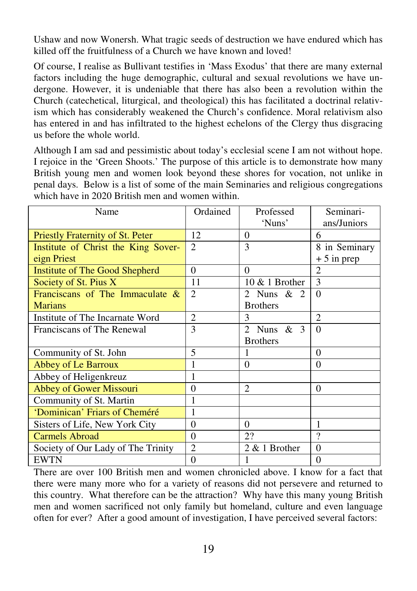Ushaw and now Wonersh. What tragic seeds of destruction we have endured which has killed off the fruitfulness of a Church we have known and loved!

Of course, I realise as Bullivant testifies in 'Mass Exodus' that there are many external factors including the huge demographic, cultural and sexual revolutions we have undergone. However, it is undeniable that there has also been a revolution within the Church (catechetical, liturgical, and theological) this has facilitated a doctrinal relativism which has considerably weakened the Church's confidence. Moral relativism also has entered in and has infiltrated to the highest echelons of the Clergy thus disgracing us before the whole world.

Although I am sad and pessimistic about today's ecclesial scene I am not without hope. I rejoice in the 'Green Shoots.' The purpose of this article is to demonstrate how many British young men and women look beyond these shores for vocation, not unlike in penal days. Below is a list of some of the main Seminaries and religious congregations which have in 2020 British men and women within.

| Name                                | Ordained                    | Professed         | Seminari-      |
|-------------------------------------|-----------------------------|-------------------|----------------|
|                                     |                             | 'Nuns'            | ans/Juniors    |
| Priestly Fraternity of St. Peter    | 12                          | 0                 | 6              |
| Institute of Christ the King Sover- | $\mathcal{D}_{\mathcal{L}}$ | 3                 | 8 in Seminary  |
| eign Priest                         |                             |                   | $+5$ in prep   |
| Institute of The Good Shepherd      | $\Omega$                    | $\Omega$          | $\overline{c}$ |
| Society of St. Pius X               | 11                          | $10 \& 1$ Brother | 3              |
| Franciscans of The Immaculate $\&$  | $\overline{2}$              | 2 Nuns $& 2$      | $\Omega$       |
| <b>Marians</b>                      |                             | <b>Brothers</b>   |                |
| Institute of The Incarnate Word     | $\overline{2}$              | 3                 | $\mathfrak{D}$ |
| Franciscans of The Renewal          | 3                           | 2 Nuns $& 3$      | $\Omega$       |
|                                     |                             | <b>Brothers</b>   |                |
| Community of St. John               | 5                           |                   | $\theta$       |
| Abbey of Le Barroux                 | 1                           | $\Omega$          | $\Omega$       |
| Abbey of Heligenkreuz               | 1                           |                   |                |
| Abbey of Gower Missouri             | $\Omega$                    | 2                 | $\Omega$       |
| Community of St. Martin             | 1                           |                   |                |
| 'Dominican' Friars of Cheméré       | 1                           |                   |                |
| Sisters of Life, New York City      | $\Omega$                    | $\Omega$          | 1              |
| <b>Carmels Abroad</b>               | $\Omega$                    | 22                | 9              |
| Society of Our Lady of The Trinity  | $\overline{c}$              | $2 & 1$ Brother   | $\Omega$       |
| <b>EWTN</b>                         | $\theta$                    | 1                 | $\theta$       |

There are over 100 British men and women chronicled above. I know for a fact that there were many more who for a variety of reasons did not persevere and returned to this country. What therefore can be the attraction? Why have this many young British men and women sacrificed not only family but homeland, culture and even language often for ever? After a good amount of investigation, I have perceived several factors: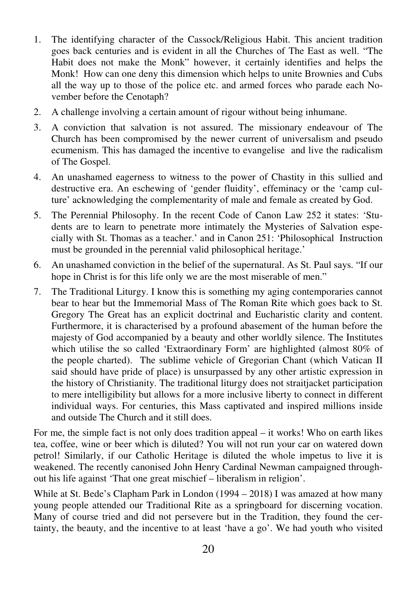- 1. The identifying character of the Cassock/Religious Habit. This ancient tradition goes back centuries and is evident in all the Churches of The East as well. "The Habit does not make the Monk" however, it certainly identifies and helps the Monk! How can one deny this dimension which helps to unite Brownies and Cubs all the way up to those of the police etc. and armed forces who parade each November before the Cenotaph?
- 2. A challenge involving a certain amount of rigour without being inhumane.
- 3. A conviction that salvation is not assured. The missionary endeavour of The Church has been compromised by the newer current of universalism and pseudo ecumenism. This has damaged the incentive to evangelise and live the radicalism of The Gospel.
- 4. An unashamed eagerness to witness to the power of Chastity in this sullied and destructive era. An eschewing of 'gender fluidity', effeminacy or the 'camp culture' acknowledging the complementarity of male and female as created by God.
- 5. The Perennial Philosophy. In the recent Code of Canon Law 252 it states: 'Students are to learn to penetrate more intimately the Mysteries of Salvation especially with St. Thomas as a teacher.' and in Canon 251: 'Philosophical Instruction must be grounded in the perennial valid philosophical heritage.'
- 6. An unashamed conviction in the belief of the supernatural. As St. Paul says. "If our hope in Christ is for this life only we are the most miserable of men."
- 7. The Traditional Liturgy. I know this is something my aging contemporaries cannot bear to hear but the Immemorial Mass of The Roman Rite which goes back to St. Gregory The Great has an explicit doctrinal and Eucharistic clarity and content. Furthermore, it is characterised by a profound abasement of the human before the majesty of God accompanied by a beauty and other worldly silence. The Institutes which utilise the so called 'Extraordinary Form' are highlighted (almost 80% of the people charted). The sublime vehicle of Gregorian Chant (which Vatican II said should have pride of place) is unsurpassed by any other artistic expression in the history of Christianity. The traditional liturgy does not straitjacket participation to mere intelligibility but allows for a more inclusive liberty to connect in different individual ways. For centuries, this Mass captivated and inspired millions inside and outside The Church and it still does.

For me, the simple fact is not only does tradition appeal – it works! Who on earth likes tea, coffee, wine or beer which is diluted? You will not run your car on watered down petrol! Similarly, if our Catholic Heritage is diluted the whole impetus to live it is weakened. The recently canonised John Henry Cardinal Newman campaigned throughout his life against 'That one great mischief – liberalism in religion'.

While at St. Bede's Clapham Park in London (1994 – 2018) I was amazed at how many young people attended our Traditional Rite as a springboard for discerning vocation. Many of course tried and did not persevere but in the Tradition, they found the certainty, the beauty, and the incentive to at least 'have a go'. We had youth who visited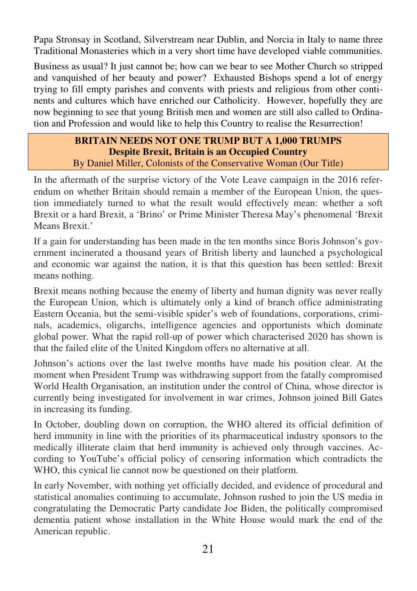Papa Stronsay in Scotland, Silverstream near Dublin, and Norcia in Italy to name three Traditional Monasteries which in a very short time have developed viable communities.

Business as usual? It just cannot be; how can we bear to see Mother Church so stripped and vanquished of her beauty and power? Exhausted Bishops spend a lot of energy trying to fill empty parishes and convents with priests and religious from other continents and cultures which have enriched our Catholicity. However, hopefully they are now beginning to see that young British men and women are still also called to Ordination and Profession and would like to help this Country to realise the Resurrection!

## **BRITAIN NEEDS NOT ONE TRUMP BUT A 1,000 TRUMPS Despite Brexit, Britain is an Occupied Country**  By Daniel Miller, Colonists of the Conservative Woman (Our Title)

In the aftermath of the surprise victory of the Vote Leave campaign in the 2016 referendum on whether Britain should remain a member of the European Union, the question immediately turned to what the result would effectively mean: whether a soft Brexit or a hard Brexit, a 'Brino' or Prime Minister Theresa May's phenomenal 'Brexit Means Brexit.'

If a gain for understanding has been made in the ten months since Boris Johnson's government incinerated a thousand years of British liberty and launched a psychological and economic war against the nation, it is that this question has been settled: Brexit means nothing.

Brexit means nothing because the enemy of liberty and human dignity was never really the European Union, which is ultimately only a kind of branch office administrating Eastern Oceania, but the semi-visible spider's web of foundations, corporations, criminals, academics, oligarchs, intelligence agencies and opportunists which dominate global power. What the rapid roll-up of power which characterised 2020 has shown is that the failed elite of the United Kingdom offers no alternative at all.

Johnson's actions over the last twelve months have made his position clear. At the moment when President Trump was withdrawing support from the fatally compromised World Health Organisation, an institution under the control of China, whose director is currently being investigated for involvement in war crimes, Johnson joined Bill Gates in increasing its funding.

In October, doubling down on corruption, the WHO altered its official definition of herd immunity in line with the priorities of its pharmaceutical industry sponsors to the medically illiterate claim that herd immunity is achieved only through vaccines. According to YouTube's official policy of censoring information which contradicts the WHO, this cynical lie cannot now be questioned on their platform.

In early November, with nothing yet officially decided, and evidence of procedural and statistical anomalies continuing to accumulate, Johnson rushed to join the US media in congratulating the Democratic Party candidate Joe Biden, the politically compromised dementia patient whose installation in the White House would mark the end of the American republic.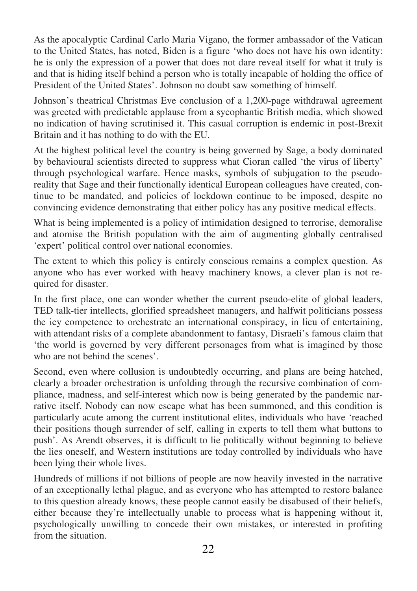As the apocalyptic Cardinal Carlo Maria Vigano, the former ambassador of the Vatican to the United States, has noted, Biden is a figure 'who does not have his own identity: he is only the expression of a power that does not dare reveal itself for what it truly is and that is hiding itself behind a person who is totally incapable of holding the office of President of the United States'. Johnson no doubt saw something of himself.

Johnson's theatrical Christmas Eve conclusion of a 1,200-page withdrawal agreement was greeted with predictable applause from a sycophantic British media, which showed no indication of having scrutinised it. This casual corruption is endemic in post-Brexit Britain and it has nothing to do with the EU.

At the highest political level the country is being governed by Sage, a body dominated by behavioural scientists directed to suppress what Cioran called 'the virus of liberty' through psychological warfare. Hence masks, symbols of subjugation to the pseudoreality that Sage and their functionally identical European colleagues have created, continue to be mandated, and policies of lockdown continue to be imposed, despite no convincing evidence demonstrating that either policy has any positive medical effects.

What is being implemented is a policy of intimidation designed to terrorise, demoralise and atomise the British population with the aim of augmenting globally centralised 'expert' political control over national economies.

The extent to which this policy is entirely conscious remains a complex question. As anyone who has ever worked with heavy machinery knows, a clever plan is not required for disaster.

In the first place, one can wonder whether the current pseudo-elite of global leaders, TED talk-tier intellects, glorified spreadsheet managers, and halfwit politicians possess the icy competence to orchestrate an international conspiracy, in lieu of entertaining, with attendant risks of a complete abandonment to fantasy, Disraeli's famous claim that 'the world is governed by very different personages from what is imagined by those who are not behind the scenes'.

Second, even where collusion is undoubtedly occurring, and plans are being hatched, clearly a broader orchestration is unfolding through the recursive combination of compliance, madness, and self-interest which now is being generated by the pandemic narrative itself. Nobody can now escape what has been summoned, and this condition is particularly acute among the current institutional elites, individuals who have 'reached their positions though surrender of self, calling in experts to tell them what buttons to push'. As Arendt observes, it is difficult to lie politically without beginning to believe the lies oneself, and Western institutions are today controlled by individuals who have been lying their whole lives.

Hundreds of millions if not billions of people are now heavily invested in the narrative of an exceptionally lethal plague, and as everyone who has attempted to restore balance to this question already knows, these people cannot easily be disabused of their beliefs, either because they're intellectually unable to process what is happening without it, psychologically unwilling to concede their own mistakes, or interested in profiting from the situation.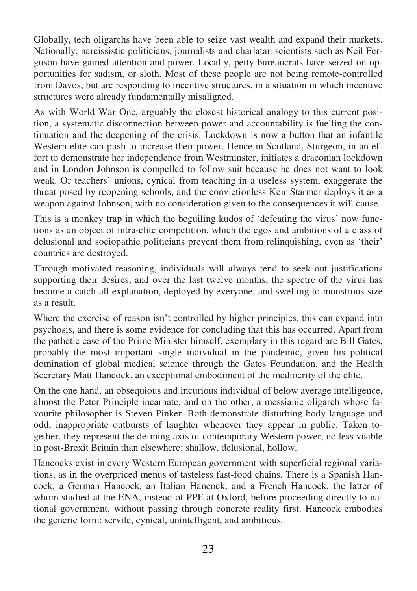Globally, tech oligarchs have been able to seize vast wealth and expand their markets. Nationally, narcissistic politicians, journalists and charlatan scientists such as Neil Ferguson have gained attention and power. Locally, petty bureaucrats have seized on opportunities for sadism, or sloth. Most of these people are not being remote-controlled from Davos, but are responding to incentive structures, in a situation in which incentive structures were already fundamentally misaligned.

As with World War One, arguably the closest historical analogy to this current position, a systematic disconnection between power and accountability is fuelling the continuation and the deepening of the crisis. Lockdown is now a button that an infantile Western elite can push to increase their power. Hence in Scotland, Sturgeon, in an effort to demonstrate her independence from Westminster, initiates a draconian lockdown and in London Johnson is compelled to follow suit because he does not want to look weak. Or teachers' unions, cynical from teaching in a useless system, exaggerate the threat posed by reopening schools, and the convictionless Keir Starmer deploys it as a weapon against Johnson, with no consideration given to the consequences it will cause.

This is a monkey trap in which the beguiling kudos of 'defeating the virus' now functions as an object of intra-elite competition, which the egos and ambitions of a class of delusional and sociopathic politicians prevent them from relinquishing, even as 'their' countries are destroyed.

Through motivated reasoning, individuals will always tend to seek out justifications supporting their desires, and over the last twelve months, the spectre of the virus has become a catch-all explanation, deployed by everyone, and swelling to monstrous size as a result.

Where the exercise of reason isn't controlled by higher principles, this can expand into psychosis, and there is some evidence for concluding that this has occurred. Apart from the pathetic case of the Prime Minister himself, exemplary in this regard are Bill Gates, probably the most important single individual in the pandemic, given his political domination of global medical science through the Gates Foundation, and the Health Secretary Matt Hancock, an exceptional embodiment of the mediocrity of the elite.

On the one hand, an obsequious and incurious individual of below average intelligence, almost the Peter Principle incarnate, and on the other, a messianic oligarch whose favourite philosopher is Steven Pinker. Both demonstrate disturbing body language and odd, inappropriate outbursts of laughter whenever they appear in public. Taken together, they represent the defining axis of contemporary Western power, no less visible in post-Brexit Britain than elsewhere: shallow, delusional, hollow.

Hancocks exist in every Western European government with superficial regional variations, as in the overpriced menus of tasteless fast-food chains. There is a Spanish Hancock, a German Hancock, an Italian Hancock, and a French Hancock, the latter of whom studied at the ENA, instead of PPE at Oxford, before proceeding directly to national government, without passing through concrete reality first. Hancock embodies the generic form: servile, cynical, unintelligent, and ambitious.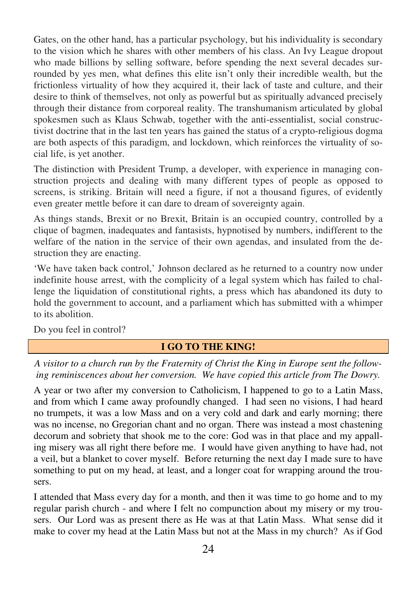Gates, on the other hand, has a particular psychology, but his individuality is secondary to the vision which he shares with other members of his class. An Ivy League dropout who made billions by selling software, before spending the next several decades surrounded by yes men, what defines this elite isn't only their incredible wealth, but the frictionless virtuality of how they acquired it, their lack of taste and culture, and their desire to think of themselves, not only as powerful but as spiritually advanced precisely through their distance from corporeal reality. The transhumanism articulated by global spokesmen such as Klaus Schwab, together with the anti-essentialist, social constructivist doctrine that in the last ten years has gained the status of a crypto-religious dogma are both aspects of this paradigm, and lockdown, which reinforces the virtuality of social life, is yet another.

The distinction with President Trump, a developer, with experience in managing construction projects and dealing with many different types of people as opposed to screens, is striking. Britain will need a figure, if not a thousand figures, of evidently even greater mettle before it can dare to dream of sovereignty again.

As things stands, Brexit or no Brexit, Britain is an occupied country, controlled by a clique of bagmen, inadequates and fantasists, hypnotised by numbers, indifferent to the welfare of the nation in the service of their own agendas, and insulated from the destruction they are enacting.

'We have taken back control,' Johnson declared as he returned to a country now under indefinite house arrest, with the complicity of a legal system which has failed to challenge the liquidation of constitutional rights, a press which has abandoned its duty to hold the government to account, and a parliament which has submitted with a whimper to its abolition.

Do you feel in control?

# **I GO TO THE KING!**

*A visitor to a church run by the Fraternity of Christ the King in Europe sent the following reminiscences about her conversion. We have copied this article from The Dowry.* 

A year or two after my conversion to Catholicism, I happened to go to a Latin Mass, and from which I came away profoundly changed. I had seen no visions, I had heard no trumpets, it was a low Mass and on a very cold and dark and early morning; there was no incense, no Gregorian chant and no organ. There was instead a most chastening decorum and sobriety that shook me to the core: God was in that place and my appalling misery was all right there before me. I would have given anything to have had, not a veil, but a blanket to cover myself. Before returning the next day I made sure to have something to put on my head, at least, and a longer coat for wrapping around the trousers.

I attended that Mass every day for a month, and then it was time to go home and to my regular parish church - and where I felt no compunction about my misery or my trousers. Our Lord was as present there as He was at that Latin Mass. What sense did it make to cover my head at the Latin Mass but not at the Mass in my church? As if God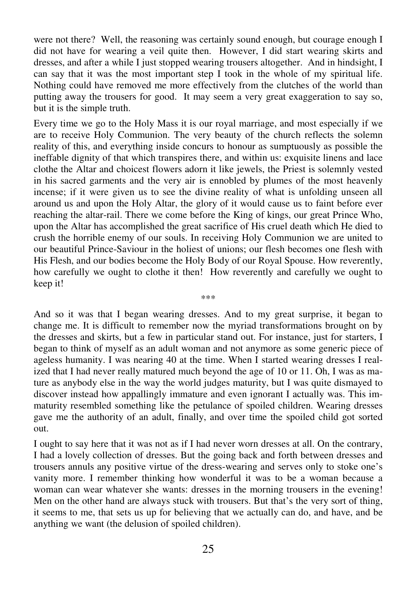were not there? Well, the reasoning was certainly sound enough, but courage enough I did not have for wearing a veil quite then. However, I did start wearing skirts and dresses, and after a while I just stopped wearing trousers altogether. And in hindsight, I can say that it was the most important step I took in the whole of my spiritual life. Nothing could have removed me more effectively from the clutches of the world than putting away the trousers for good. It may seem a very great exaggeration to say so, but it is the simple truth.

Every time we go to the Holy Mass it is our royal marriage, and most especially if we are to receive Holy Communion. The very beauty of the church reflects the solemn reality of this, and everything inside concurs to honour as sumptuously as possible the ineffable dignity of that which transpires there, and within us: exquisite linens and lace clothe the Altar and choicest flowers adorn it like jewels, the Priest is solemnly vested in his sacred garments and the very air is ennobled by plumes of the most heavenly incense; if it were given us to see the divine reality of what is unfolding unseen all around us and upon the Holy Altar, the glory of it would cause us to faint before ever reaching the altar-rail. There we come before the King of kings, our great Prince Who, upon the Altar has accomplished the great sacrifice of His cruel death which He died to crush the horrible enemy of our souls. In receiving Holy Communion we are united to our beautiful Prince-Saviour in the holiest of unions; our flesh becomes one flesh with His Flesh, and our bodies become the Holy Body of our Royal Spouse. How reverently, how carefully we ought to clothe it then! How reverently and carefully we ought to keep it!

And so it was that I began wearing dresses. And to my great surprise, it began to change me. It is difficult to remember now the myriad transformations brought on by the dresses and skirts, but a few in particular stand out. For instance, just for starters, I began to think of myself as an adult woman and not anymore as some generic piece of ageless humanity. I was nearing 40 at the time. When I started wearing dresses I realized that I had never really matured much beyond the age of 10 or 11. Oh, I was as mature as anybody else in the way the world judges maturity, but I was quite dismayed to discover instead how appallingly immature and even ignorant I actually was. This immaturity resembled something like the petulance of spoiled children. Wearing dresses gave me the authority of an adult, finally, and over time the spoiled child got sorted out.

\*\*\*

I ought to say here that it was not as if I had never worn dresses at all. On the contrary, I had a lovely collection of dresses. But the going back and forth between dresses and trousers annuls any positive virtue of the dress-wearing and serves only to stoke one's vanity more. I remember thinking how wonderful it was to be a woman because a woman can wear whatever she wants: dresses in the morning trousers in the evening! Men on the other hand are always stuck with trousers. But that's the very sort of thing, it seems to me, that sets us up for believing that we actually can do, and have, and be anything we want (the delusion of spoiled children).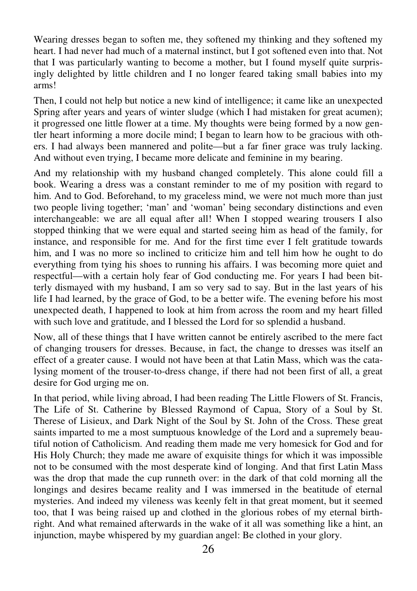Wearing dresses began to soften me, they softened my thinking and they softened my heart. I had never had much of a maternal instinct, but I got softened even into that. Not that I was particularly wanting to become a mother, but I found myself quite surprisingly delighted by little children and I no longer feared taking small babies into my arms!

Then, I could not help but notice a new kind of intelligence; it came like an unexpected Spring after years and years of winter sludge (which I had mistaken for great acumen); it progressed one little flower at a time. My thoughts were being formed by a now gentler heart informing a more docile mind; I began to learn how to be gracious with others. I had always been mannered and polite—but a far finer grace was truly lacking. And without even trying, I became more delicate and feminine in my bearing.

And my relationship with my husband changed completely. This alone could fill a book. Wearing a dress was a constant reminder to me of my position with regard to him. And to God. Beforehand, to my graceless mind, we were not much more than just two people living together; 'man' and 'woman' being secondary distinctions and even interchangeable: we are all equal after all! When I stopped wearing trousers I also stopped thinking that we were equal and started seeing him as head of the family, for instance, and responsible for me. And for the first time ever I felt gratitude towards him, and I was no more so inclined to criticize him and tell him how he ought to do everything from tying his shoes to running his affairs. I was becoming more quiet and respectful—with a certain holy fear of God conducting me. For years I had been bitterly dismayed with my husband, I am so very sad to say. But in the last years of his life I had learned, by the grace of God, to be a better wife. The evening before his most unexpected death, I happened to look at him from across the room and my heart filled with such love and gratitude, and I blessed the Lord for so splendid a husband.

Now, all of these things that I have written cannot be entirely ascribed to the mere fact of changing trousers for dresses. Because, in fact, the change to dresses was itself an effect of a greater cause. I would not have been at that Latin Mass, which was the catalysing moment of the trouser-to-dress change, if there had not been first of all, a great desire for God urging me on.

In that period, while living abroad, I had been reading The Little Flowers of St. Francis, The Life of St. Catherine by Blessed Raymond of Capua, Story of a Soul by St. Therese of Lisieux, and Dark Night of the Soul by St. John of the Cross. These great saints imparted to me a most sumptuous knowledge of the Lord and a supremely beautiful notion of Catholicism. And reading them made me very homesick for God and for His Holy Church; they made me aware of exquisite things for which it was impossible not to be consumed with the most desperate kind of longing. And that first Latin Mass was the drop that made the cup runneth over: in the dark of that cold morning all the longings and desires became reality and I was immersed in the beatitude of eternal mysteries. And indeed my vileness was keenly felt in that great moment, but it seemed too, that I was being raised up and clothed in the glorious robes of my eternal birthright. And what remained afterwards in the wake of it all was something like a hint, an injunction, maybe whispered by my guardian angel: Be clothed in your glory.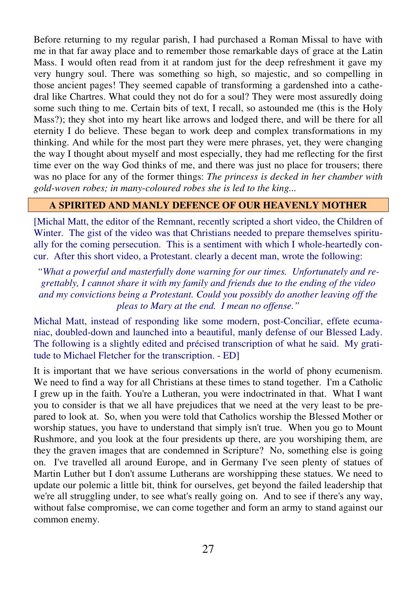Before returning to my regular parish, I had purchased a Roman Missal to have with me in that far away place and to remember those remarkable days of grace at the Latin Mass. I would often read from it at random just for the deep refreshment it gave my very hungry soul. There was something so high, so majestic, and so compelling in those ancient pages! They seemed capable of transforming a gardenshed into a cathedral like Chartres. What could they not do for a soul? They were most assuredly doing some such thing to me. Certain bits of text, I recall, so astounded me (this is the Holy Mass?); they shot into my heart like arrows and lodged there, and will be there for all eternity I do believe. These began to work deep and complex transformations in my thinking. And while for the most part they were mere phrases, yet, they were changing the way I thought about myself and most especially, they had me reflecting for the first time ever on the way God thinks of me, and there was just no place for trousers; there was no place for any of the former things: *The princess is decked in her chamber with gold-woven robes; in many-coloured robes she is led to the king...* 

#### **A SPIRITED AND MANLY DEFENCE OF OUR HEAVENLY MOTHER**

[Michal Matt, the editor of the Remnant, recently scripted a short video, the Children of Winter. The gist of the video was that Christians needed to prepare themselves spiritually for the coming persecution. This is a sentiment with which I whole-heartedly concur. After this short video, a Protestant. clearly a decent man, wrote the following:

*"What a powerful and masterfully done warning for our times. Unfortunately and regrettably, I cannot share it with my family and friends due to the ending of the video and my convictions being a Protestant. Could you possibly do another leaving off the pleas to Mary at the end. I mean no offense."* 

Michal Matt, instead of responding like some modern, post-Conciliar, effete ecumaniac, doubled-down and launched into a beautiful, manly defense of our Blessed Lady. The following is a slightly edited and précised transcription of what he said. My gratitude to Michael Fletcher for the transcription. - ED]

It is important that we have serious conversations in the world of phony ecumenism. We need to find a way for all Christians at these times to stand together. I'm a Catholic I grew up in the faith. You're a Lutheran, you were indoctrinated in that. What I want you to consider is that we all have prejudices that we need at the very least to be prepared to look at. So, when you were told that Catholics worship the Blessed Mother or worship statues, you have to understand that simply isn't true. When you go to Mount Rushmore, and you look at the four presidents up there, are you worshiping them, are they the graven images that are condemned in Scripture? No, something else is going on. I've travelled all around Europe, and in Germany I've seen plenty of statues of Martin Luther but I don't assume Lutherans are worshipping these statues. We need to update our polemic a little bit, think for ourselves, get beyond the failed leadership that we're all struggling under, to see what's really going on. And to see if there's any way, without false compromise, we can come together and form an army to stand against our common enemy.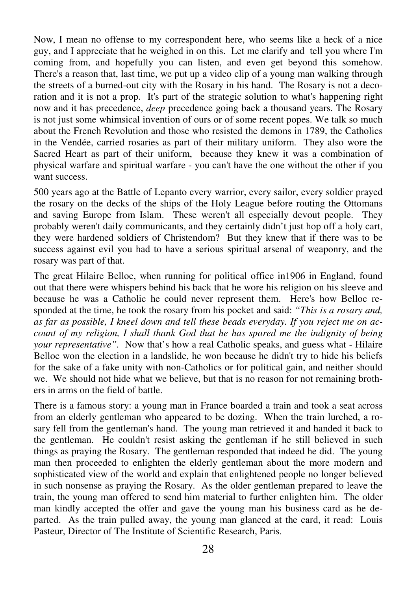Now, I mean no offense to my correspondent here, who seems like a heck of a nice guy, and I appreciate that he weighed in on this. Let me clarify and tell you where I'm coming from, and hopefully you can listen, and even get beyond this somehow. There's a reason that, last time, we put up a video clip of a young man walking through the streets of a burned-out city with the Rosary in his hand. The Rosary is not a decoration and it is not a prop. It's part of the strategic solution to what's happening right now and it has precedence, *deep* precedence going back a thousand years. The Rosary is not just some whimsical invention of ours or of some recent popes. We talk so much about the French Revolution and those who resisted the demons in 1789, the Catholics in the Vendée, carried rosaries as part of their military uniform. They also wore the Sacred Heart as part of their uniform, because they knew it was a combination of physical warfare and spiritual warfare - you can't have the one without the other if you want success.

500 years ago at the Battle of Lepanto every warrior, every sailor, every soldier prayed the rosary on the decks of the ships of the Holy League before routing the Ottomans and saving Europe from Islam. These weren't all especially devout people. They probably weren't daily communicants, and they certainly didn't just hop off a holy cart, they were hardened soldiers of Christendom? But they knew that if there was to be success against evil you had to have a serious spiritual arsenal of weaponry, and the rosary was part of that.

The great Hilaire Belloc, when running for political office in1906 in England, found out that there were whispers behind his back that he wore his religion on his sleeve and because he was a Catholic he could never represent them. Here's how Belloc responded at the time, he took the rosary from his pocket and said: *"This is a rosary and, as far as possible, I kneel down and tell these beads everyday. If you reject me on account of my religion, I shall thank God that he has spared me the indignity of being your representative".* Now that's how a real Catholic speaks, and guess what - Hilaire Belloc won the election in a landslide, he won because he didn't try to hide his beliefs for the sake of a fake unity with non-Catholics or for political gain, and neither should we. We should not hide what we believe, but that is no reason for not remaining brothers in arms on the field of battle.

There is a famous story: a young man in France boarded a train and took a seat across from an elderly gentleman who appeared to be dozing. When the train lurched, a rosary fell from the gentleman's hand. The young man retrieved it and handed it back to the gentleman. He couldn't resist asking the gentleman if he still believed in such things as praying the Rosary. The gentleman responded that indeed he did. The young man then proceeded to enlighten the elderly gentleman about the more modern and sophisticated view of the world and explain that enlightened people no longer believed in such nonsense as praying the Rosary. As the older gentleman prepared to leave the train, the young man offered to send him material to further enlighten him. The older man kindly accepted the offer and gave the young man his business card as he departed. As the train pulled away, the young man glanced at the card, it read: Louis Pasteur, Director of The Institute of Scientific Research, Paris.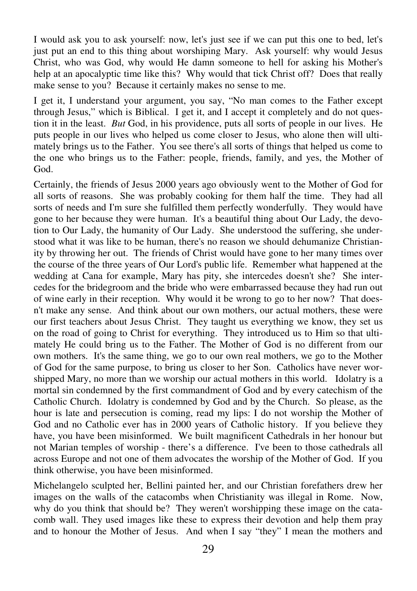I would ask you to ask yourself: now, let's just see if we can put this one to bed, let's just put an end to this thing about worshiping Mary. Ask yourself: why would Jesus Christ, who was God, why would He damn someone to hell for asking his Mother's help at an apocalyptic time like this? Why would that tick Christ off? Does that really make sense to you? Because it certainly makes no sense to me.

I get it, I understand your argument, you say, "No man comes to the Father except through Jesus," which is Biblical. I get it, and I accept it completely and do not question it in the least. *But* God, in his providence, puts all sorts of people in our lives. He puts people in our lives who helped us come closer to Jesus, who alone then will ultimately brings us to the Father. You see there's all sorts of things that helped us come to the one who brings us to the Father: people, friends, family, and yes, the Mother of God.

Certainly, the friends of Jesus 2000 years ago obviously went to the Mother of God for all sorts of reasons. She was probably cooking for them half the time. They had all sorts of needs and I'm sure she fulfilled them perfectly wonderfully. They would have gone to her because they were human. It's a beautiful thing about Our Lady, the devotion to Our Lady, the humanity of Our Lady. She understood the suffering, she understood what it was like to be human, there's no reason we should dehumanize Christianity by throwing her out. The friends of Christ would have gone to her many times over the course of the three years of Our Lord's public life. Remember what happened at the wedding at Cana for example, Mary has pity, she intercedes doesn't she? She intercedes for the bridegroom and the bride who were embarrassed because they had run out of wine early in their reception. Why would it be wrong to go to her now? That doesn't make any sense. And think about our own mothers, our actual mothers, these were our first teachers about Jesus Christ. They taught us everything we know, they set us on the road of going to Christ for everything. They introduced us to Him so that ultimately He could bring us to the Father. The Mother of God is no different from our own mothers. It's the same thing, we go to our own real mothers, we go to the Mother of God for the same purpose, to bring us closer to her Son. Catholics have never worshipped Mary, no more than we worship our actual mothers in this world. Idolatry is a mortal sin condemned by the first commandment of God and by every catechism of the Catholic Church. Idolatry is condemned by God and by the Church. So please, as the hour is late and persecution is coming, read my lips: I do not worship the Mother of God and no Catholic ever has in 2000 years of Catholic history. If you believe they have, you have been misinformed. We built magnificent Cathedrals in her honour but not Marian temples of worship - there's a difference. I've been to those cathedrals all across Europe and not one of them advocates the worship of the Mother of God. If you think otherwise, you have been misinformed.

Michelangelo sculpted her, Bellini painted her, and our Christian forefathers drew her images on the walls of the catacombs when Christianity was illegal in Rome. Now, why do you think that should be? They weren't worshipping these image on the catacomb wall. They used images like these to express their devotion and help them pray and to honour the Mother of Jesus. And when I say "they" I mean the mothers and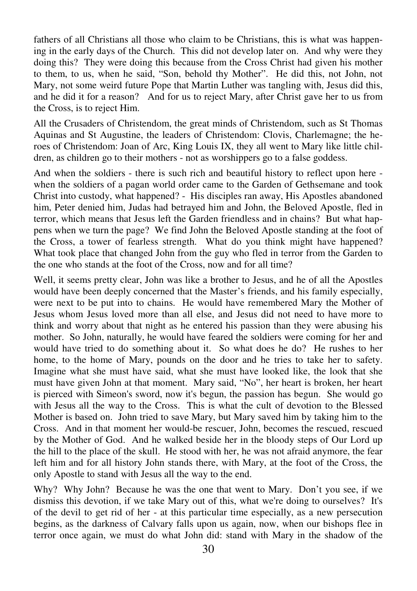fathers of all Christians all those who claim to be Christians, this is what was happening in the early days of the Church. This did not develop later on. And why were they doing this? They were doing this because from the Cross Christ had given his mother to them, to us, when he said, "Son, behold thy Mother". He did this, not John, not Mary, not some weird future Pope that Martin Luther was tangling with, Jesus did this, and he did it for a reason? And for us to reject Mary, after Christ gave her to us from the Cross, is to reject Him.

All the Crusaders of Christendom, the great minds of Christendom, such as St Thomas Aquinas and St Augustine, the leaders of Christendom: Clovis, Charlemagne; the heroes of Christendom: Joan of Arc, King Louis IX, they all went to Mary like little children, as children go to their mothers - not as worshippers go to a false goddess.

And when the soldiers - there is such rich and beautiful history to reflect upon here when the soldiers of a pagan world order came to the Garden of Gethsemane and took Christ into custody, what happened? - His disciples ran away, His Apostles abandoned him, Peter denied him, Judas had betrayed him and John, the Beloved Apostle, fled in terror, which means that Jesus left the Garden friendless and in chains? But what happens when we turn the page? We find John the Beloved Apostle standing at the foot of the Cross, a tower of fearless strength. What do you think might have happened? What took place that changed John from the guy who fled in terror from the Garden to the one who stands at the foot of the Cross, now and for all time?

Well, it seems pretty clear, John was like a brother to Jesus, and he of all the Apostles would have been deeply concerned that the Master's friends, and his family especially, were next to be put into to chains. He would have remembered Mary the Mother of Jesus whom Jesus loved more than all else, and Jesus did not need to have more to think and worry about that night as he entered his passion than they were abusing his mother. So John, naturally, he would have feared the soldiers were coming for her and would have tried to do something about it. So what does he do? He rushes to her home, to the home of Mary, pounds on the door and he tries to take her to safety. Imagine what she must have said, what she must have looked like, the look that she must have given John at that moment. Mary said, "No", her heart is broken, her heart is pierced with Simeon's sword, now it's begun, the passion has begun. She would go with Jesus all the way to the Cross. This is what the cult of devotion to the Blessed Mother is based on. John tried to save Mary, but Mary saved him by taking him to the Cross. And in that moment her would-be rescuer, John, becomes the rescued, rescued by the Mother of God. And he walked beside her in the bloody steps of Our Lord up the hill to the place of the skull. He stood with her, he was not afraid anymore, the fear left him and for all history John stands there, with Mary, at the foot of the Cross, the only Apostle to stand with Jesus all the way to the end.

Why? Why John? Because he was the one that went to Mary. Don't you see, if we dismiss this devotion, if we take Mary out of this, what we're doing to ourselves? It's of the devil to get rid of her - at this particular time especially, as a new persecution begins, as the darkness of Calvary falls upon us again, now, when our bishops flee in terror once again, we must do what John did: stand with Mary in the shadow of the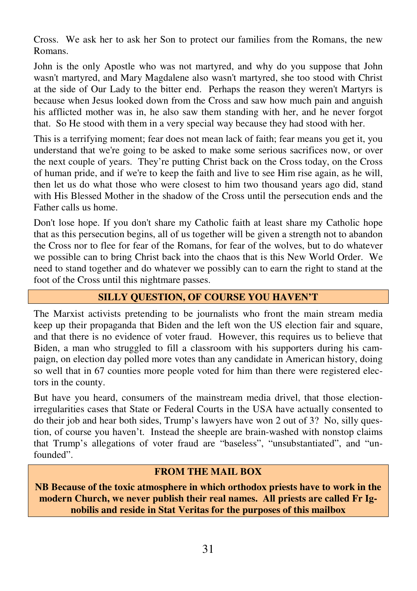Cross. We ask her to ask her Son to protect our families from the Romans, the new Romans.

John is the only Apostle who was not martyred, and why do you suppose that John wasn't martyred, and Mary Magdalene also wasn't martyred, she too stood with Christ at the side of Our Lady to the bitter end. Perhaps the reason they weren't Martyrs is because when Jesus looked down from the Cross and saw how much pain and anguish his afflicted mother was in, he also saw them standing with her, and he never forgot that. So He stood with them in a very special way because they had stood with her.

This is a terrifying moment; fear does not mean lack of faith; fear means you get it, you understand that we're going to be asked to make some serious sacrifices now, or over the next couple of years. They're putting Christ back on the Cross today, on the Cross of human pride, and if we're to keep the faith and live to see Him rise again, as he will, then let us do what those who were closest to him two thousand years ago did, stand with His Blessed Mother in the shadow of the Cross until the persecution ends and the Father calls us home.

Don't lose hope. If you don't share my Catholic faith at least share my Catholic hope that as this persecution begins, all of us together will be given a strength not to abandon the Cross nor to flee for fear of the Romans, for fear of the wolves, but to do whatever we possible can to bring Christ back into the chaos that is this New World Order. We need to stand together and do whatever we possibly can to earn the right to stand at the foot of the Cross until this nightmare passes.

## **SILLY QUESTION, OF COURSE YOU HAVEN'T**

The Marxist activists pretending to be journalists who front the main stream media keep up their propaganda that Biden and the left won the US election fair and square, and that there is no evidence of voter fraud. However, this requires us to believe that Biden, a man who struggled to fill a classroom with his supporters during his campaign, on election day polled more votes than any candidate in American history, doing so well that in 67 counties more people voted for him than there were registered electors in the county.

But have you heard, consumers of the mainstream media drivel, that those electionirregularities cases that State or Federal Courts in the USA have actually consented to do their job and hear both sides, Trump's lawyers have won 2 out of 3? No, silly question, of course you haven't. Instead the sheeple are brain-washed with nonstop claims that Trump's allegations of voter fraud are "baseless", "unsubstantiated", and "unfounded".

#### **FROM THE MAIL BOX**

**NB Because of the toxic atmosphere in which orthodox priests have to work in the modern Church, we never publish their real names. All priests are called Fr Ignobilis and reside in Stat Veritas for the purposes of this mailbox**